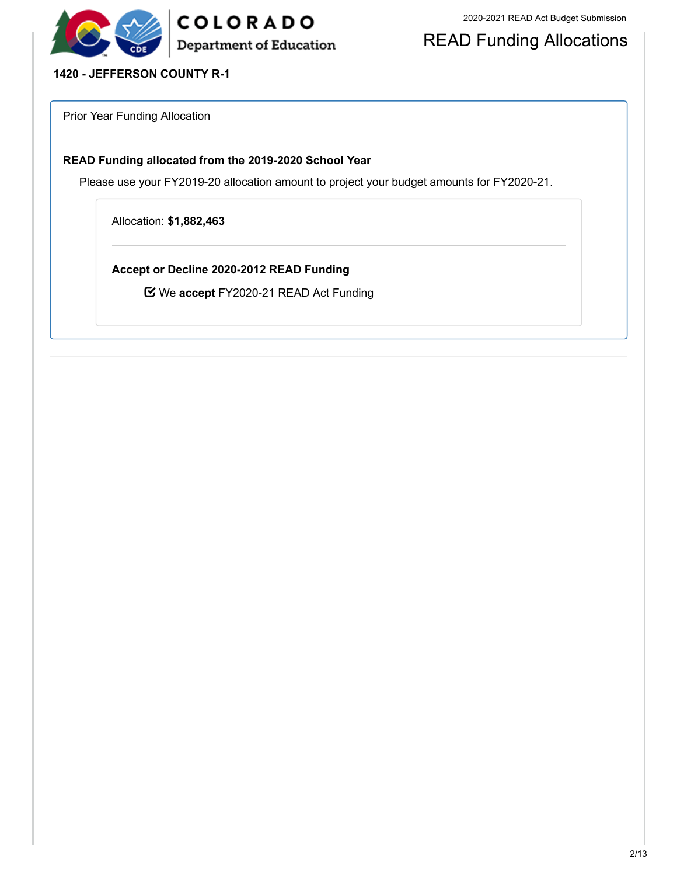

READ Funding Allocations

### **1420 - JEFFERSON COUNTY R-1**

Prior Year Funding Allocation

#### **READ Funding allocated from the 2019-2020 School Year**

Please use your FY2019-20 allocation amount to project your budget amounts for FY2020-21.

Allocation: **\$1,882,463**

**Accept or Decline 2020-2012 READ Funding**

We **accept** FY2020-21 READ Act Funding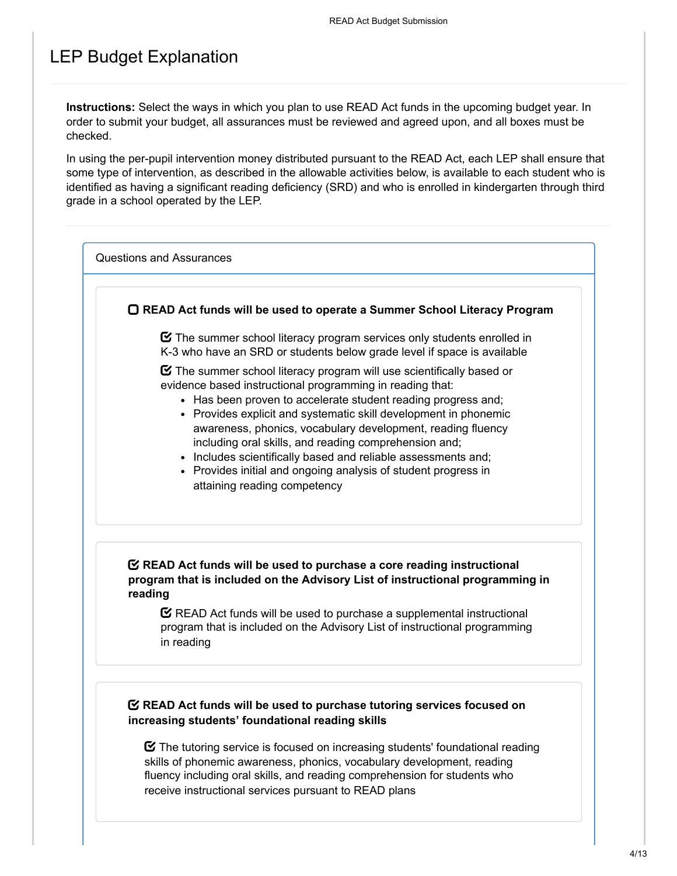### LEP Budget Explanation

**Instructions:** Select the ways in which you plan to use READ Act funds in the upcoming budget year. In order to submit your budget, all assurances must be reviewed and agreed upon, and all boxes must be checked.

In using the per-pupil intervention money distributed pursuant to the READ Act, each LEP shall ensure that some type of intervention, as described in the allowable activities below, is available to each student who is identified as having a significant reading deficiency (SRD) and who is enrolled in kindergarten through third grade in a school operated by the LEP.

Questions and Assurances

**READ Act funds will be used to operate a Summer School Literacy Program**

 $\boldsymbol{\heartsuit}$  The summer school literacy program services only students enrolled in K-3 who have an SRD or students below grade level if space is available

 $\boldsymbol{\Xi}$  The summer school literacy program will use scientifically based or evidence based instructional programming in reading that:

- Has been proven to accelerate student reading progress and:
- Provides explicit and systematic skill development in phonemic awareness, phonics, vocabulary development, reading fluency including oral skills, and reading comprehension and;
- Includes scientifically based and reliable assessments and;
- Provides initial and ongoing analysis of student progress in attaining reading competency

### **READ Act funds will be used to purchase a core reading instructional program that is included on the Advisory List of instructional programming in reading**

 $\mathbf C$  READ Act funds will be used to purchase a supplemental instructional program that is included on the Advisory List of instructional programming in reading

### **READ Act funds will be used to purchase tutoring services focused on increasing students' foundational reading skills**

 $\boldsymbol{\heartsuit}$  The tutoring service is focused on increasing students' foundational reading skills of phonemic awareness, phonics, vocabulary development, reading fluency including oral skills, and reading comprehension for students who receive instructional services pursuant to READ plans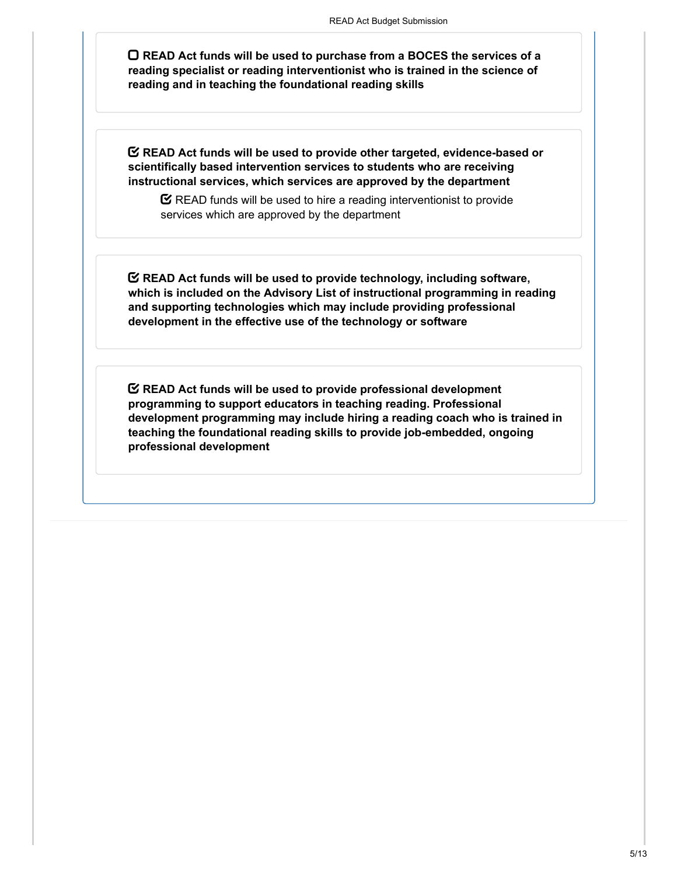**READ Act funds will be used to purchase from a BOCES the services of a reading specialist or reading interventionist who is trained in the science of reading and in teaching the foundational reading skills**

**READ Act funds will be used to provide other targeted, evidence-based or scientifically based intervention services to students who are receiving instructional services, which services are approved by the department**

 $\mathbf C$  READ funds will be used to hire a reading interventionist to provide services which are approved by the department

**READ Act funds will be used to provide technology, including software, which is included on the Advisory List of instructional programming in reading and supporting technologies which may include providing professional development in the effective use of the technology or software**

**READ Act funds will be used to provide professional development programming to support educators in teaching reading. Professional development programming may include hiring a reading coach who is trained in teaching the foundational reading skills to provide job-embedded, ongoing professional development**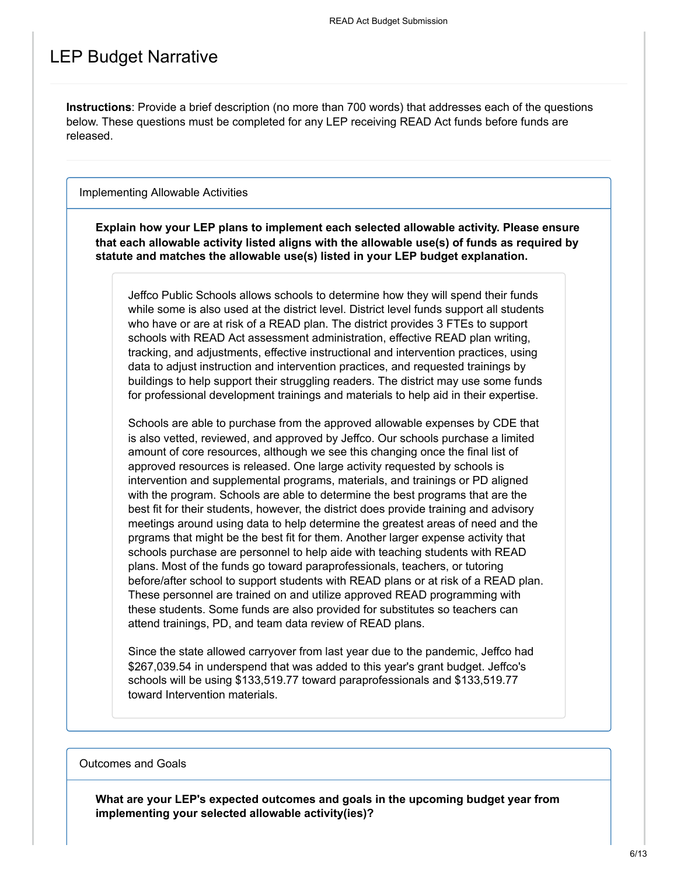### LEP Budget Narrative

**Instructions**: Provide a brief description (no more than 700 words) that addresses each of the questions below. These questions must be completed for any LEP receiving READ Act funds before funds are released.

Implementing Allowable Activities

**Explain how your LEP plans to implement each selected allowable activity. Please ensure that each allowable activity listed aligns with the allowable use(s) of funds as required by statute and matches the allowable use(s) listed in your LEP budget explanation.**

Jeffco Public Schools allows schools to determine how they will spend their funds while some is also used at the district level. District level funds support all students who have or are at risk of a READ plan. The district provides 3 FTEs to support schools with READ Act assessment administration, effective READ plan writing, tracking, and adjustments, effective instructional and intervention practices, using data to adjust instruction and intervention practices, and requested trainings by buildings to help support their struggling readers. The district may use some funds for professional development trainings and materials to help aid in their expertise.

Schools are able to purchase from the approved allowable expenses by CDE that is also vetted, reviewed, and approved by Jeffco. Our schools purchase a limited amount of core resources, although we see this changing once the final list of approved resources is released. One large activity requested by schools is intervention and supplemental programs, materials, and trainings or PD aligned with the program. Schools are able to determine the best programs that are the best fit for their students, however, the district does provide training and advisory meetings around using data to help determine the greatest areas of need and the prgrams that might be the best fit for them. Another larger expense activity that schools purchase are personnel to help aide with teaching students with READ plans. Most of the funds go toward paraprofessionals, teachers, or tutoring before/after school to support students with READ plans or at risk of a READ plan. These personnel are trained on and utilize approved READ programming with these students. Some funds are also provided for substitutes so teachers can attend trainings, PD, and team data review of READ plans.

Since the state allowed carryover from last year due to the pandemic, Jeffco had \$267,039.54 in underspend that was added to this year's grant budget. Jeffco's schools will be using \$133,519.77 toward paraprofessionals and \$133,519.77 toward Intervention materials.

Outcomes and Goals

**What are your LEP's expected outcomes and goals in the upcoming budget year from implementing your selected allowable activity(ies)?**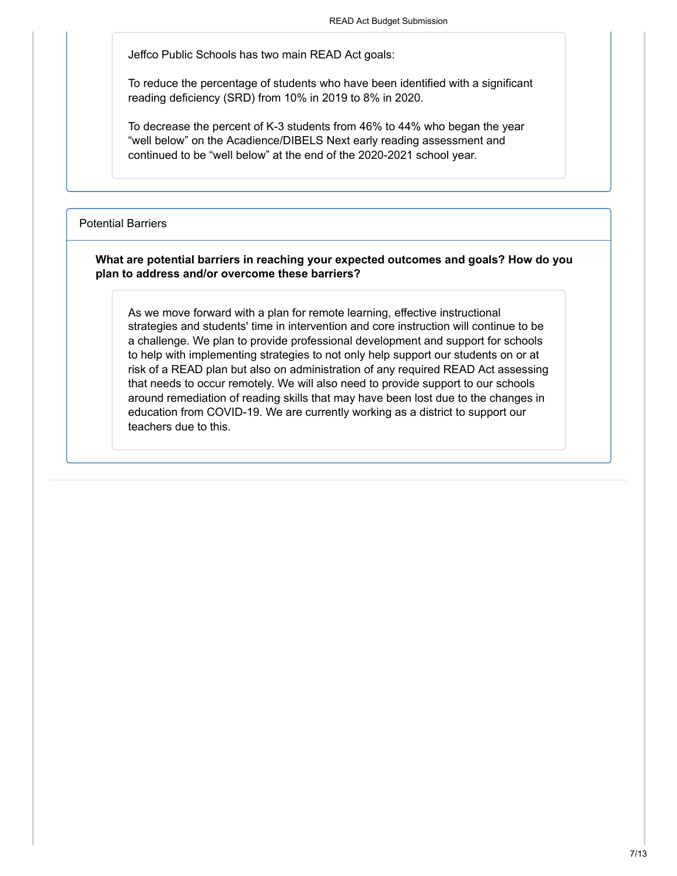Jeffco Public Schools has two main READ Act goals:

To reduce the percentage of students who have been identified with a significant reading deficiency (SRD) from 10% in 2019 to 8% in 2020.

To decrease the percent of K-3 students from 46% to 44% who began the year "well below" on the Acadience/DIBELS Next early reading assessment and continued to be "well below" at the end of the 2020-2021 school year.

#### Potential Barriers

#### **What are potential barriers in reaching your expected outcomes and goals? How do you plan to address and/or overcome these barriers?**

As we move forward with a plan for remote learning, effective instructional strategies and students' time in intervention and core instruction will continue to be a challenge. We plan to provide professional development and support for schools to help with implementing strategies to not only help support our students on or at risk of a READ plan but also on administration of any required READ Act assessing that needs to occur remotely. We will also need to provide support to our schools around remediation of reading skills that may have been lost due to the changes in education from COVID-19. We are currently working as a district to support our teachers due to this.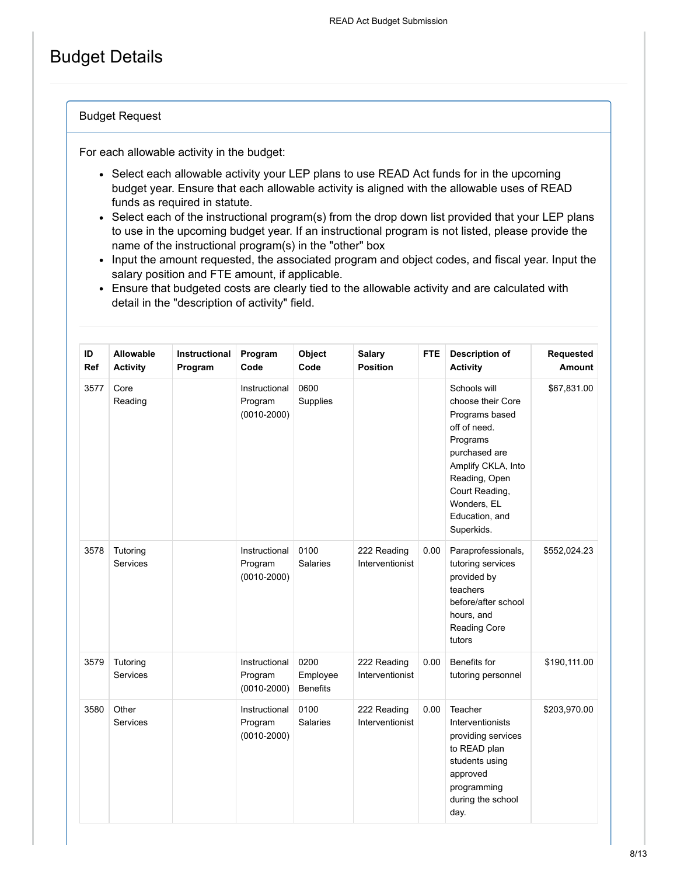## Budget Details

### Budget Request

For each allowable activity in the budget:

- Select each allowable activity your LEP plans to use READ Act funds for in the upcoming budget year. Ensure that each allowable activity is aligned with the allowable uses of READ funds as required in statute.
- Select each of the instructional program(s) from the drop down list provided that your LEP plans to use in the upcoming budget year. If an instructional program is not listed, please provide the name of the instructional program(s) in the "other" box
- Input the amount requested, the associated program and object codes, and fiscal year. Input the salary position and FTE amount, if applicable.
- Ensure that budgeted costs are clearly tied to the allowable activity and are calculated with detail in the "description of activity" field.

| ID<br>Ref | <b>Allowable</b><br><b>Activity</b> | <b>Instructional</b><br>Program | Program<br>Code                             | Object<br>Code                      | <b>Salary</b><br><b>Position</b> | <b>FTE</b> | <b>Description of</b><br><b>Activity</b>                                                                                                                                                                 | Requested<br><b>Amount</b> |
|-----------|-------------------------------------|---------------------------------|---------------------------------------------|-------------------------------------|----------------------------------|------------|----------------------------------------------------------------------------------------------------------------------------------------------------------------------------------------------------------|----------------------------|
| 3577      | Core<br>Reading                     |                                 | Instructional<br>Program<br>$(0010 - 2000)$ | 0600<br>Supplies                    |                                  |            | Schools will<br>choose their Core<br>Programs based<br>off of need.<br>Programs<br>purchased are<br>Amplify CKLA, Into<br>Reading, Open<br>Court Reading,<br>Wonders. EL<br>Education, and<br>Superkids. | \$67,831.00                |
| 3578      | Tutoring<br><b>Services</b>         |                                 | Instructional<br>Program<br>$(0010 - 2000)$ | 0100<br><b>Salaries</b>             | 222 Reading<br>Interventionist   | 0.00       | Paraprofessionals,<br>tutoring services<br>provided by<br>teachers<br>before/after school<br>hours, and<br><b>Reading Core</b><br>tutors                                                                 | \$552,024.23               |
| 3579      | Tutoring<br><b>Services</b>         |                                 | Instructional<br>Program<br>$(0010 - 2000)$ | 0200<br>Employee<br><b>Benefits</b> | 222 Reading<br>Interventionist   | 0.00       | Benefits for<br>tutoring personnel                                                                                                                                                                       | \$190,111.00               |
| 3580      | Other<br><b>Services</b>            |                                 | Instructional<br>Program<br>$(0010 - 2000)$ | 0100<br><b>Salaries</b>             | 222 Reading<br>Interventionist   | 0.00       | Teacher<br>Interventionists<br>providing services<br>to READ plan<br>students using<br>approved<br>programming<br>during the school<br>day.                                                              | \$203,970.00               |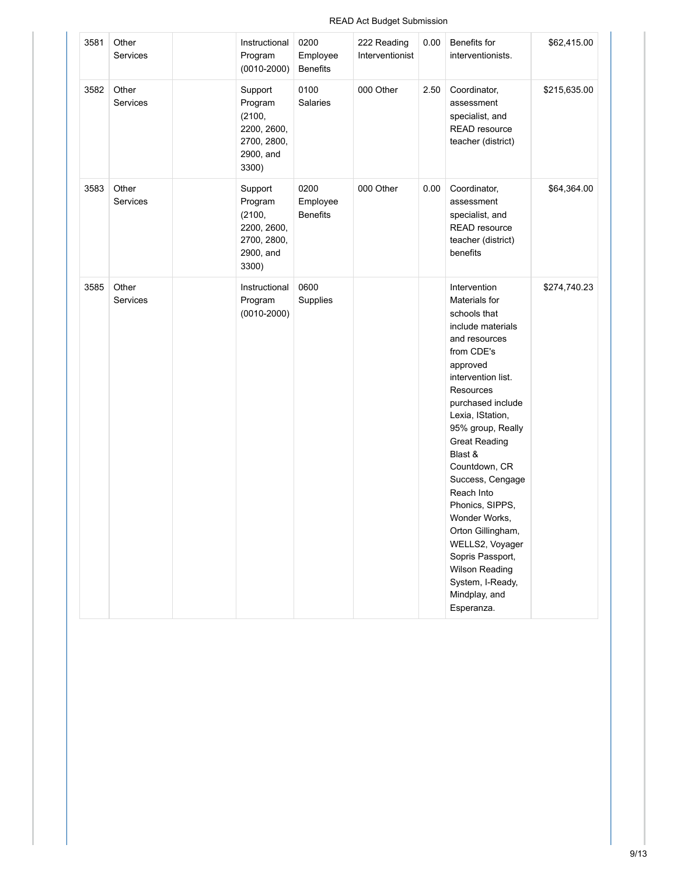### READ Act Budget Submission

| 3581 | Other<br>Services        | Instructional<br>Program<br>$(0010 - 2000)$                                      | 0200<br>Employee<br><b>Benefits</b> | 222 Reading<br>Interventionist | 0.00 | Benefits for<br>interventionists.                                                                                                                                                                                                                                                                                                                                                                                                                                                       | \$62,415.00  |
|------|--------------------------|----------------------------------------------------------------------------------|-------------------------------------|--------------------------------|------|-----------------------------------------------------------------------------------------------------------------------------------------------------------------------------------------------------------------------------------------------------------------------------------------------------------------------------------------------------------------------------------------------------------------------------------------------------------------------------------------|--------------|
| 3582 | Other<br>Services        | Support<br>Program<br>(2100,<br>2200, 2600,<br>2700, 2800,<br>2900, and<br>3300) | 0100<br>Salaries                    | 000 Other                      | 2.50 | Coordinator,<br>assessment<br>specialist, and<br>READ resource<br>teacher (district)                                                                                                                                                                                                                                                                                                                                                                                                    | \$215,635.00 |
| 3583 | Other<br>Services        | Support<br>Program<br>(2100,<br>2200, 2600,<br>2700, 2800,<br>2900, and<br>3300) | 0200<br>Employee<br><b>Benefits</b> | 000 Other                      | 0.00 | Coordinator,<br>assessment<br>specialist, and<br>READ resource<br>teacher (district)<br>benefits                                                                                                                                                                                                                                                                                                                                                                                        | \$64,364.00  |
| 3585 | Other<br><b>Services</b> | Instructional<br>Program<br>$(0010 - 2000)$                                      | 0600<br>Supplies                    |                                |      | Intervention<br>Materials for<br>schools that<br>include materials<br>and resources<br>from CDE's<br>approved<br>intervention list.<br><b>Resources</b><br>purchased include<br>Lexia, IStation,<br>95% group, Really<br><b>Great Reading</b><br>Blast &<br>Countdown, CR<br>Success, Cengage<br>Reach Into<br>Phonics, SIPPS,<br>Wonder Works,<br>Orton Gillingham,<br>WELLS2, Voyager<br>Sopris Passport,<br><b>Wilson Reading</b><br>System, I-Ready,<br>Mindplay, and<br>Esperanza. | \$274,740.23 |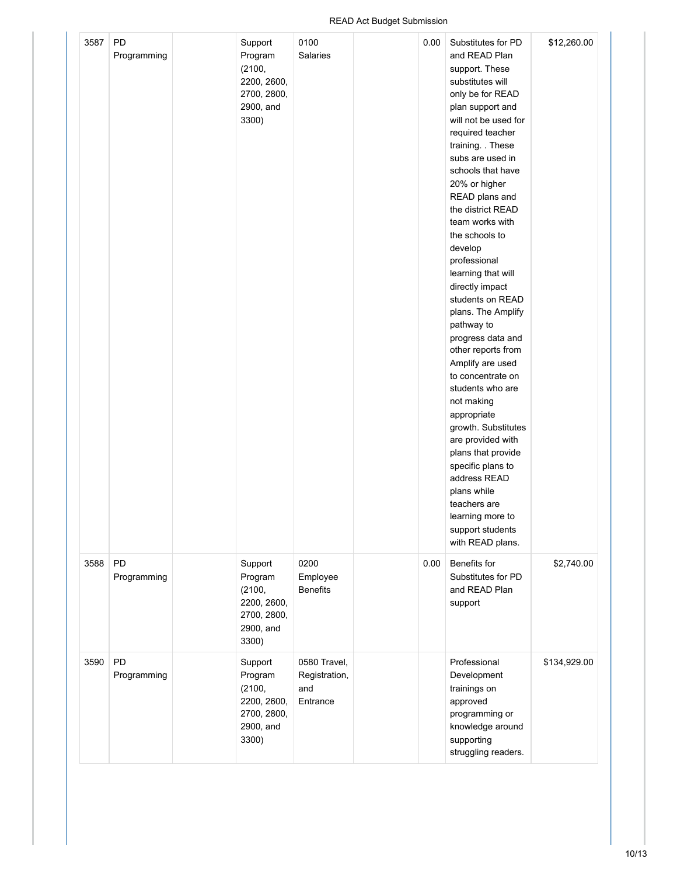### READ Act Budget Submission

| 3587 | PD<br>Programming | Support<br>Program<br>(2100,<br>2200, 2600,<br>2700, 2800,<br>2900, and<br>3300) | 0100<br>Salaries                                 | 0.00 | Substitutes for PD<br>and READ Plan<br>support. These<br>substitutes will<br>only be for READ<br>plan support and<br>will not be used for<br>required teacher<br>training. These<br>subs are used in<br>schools that have<br>20% or higher<br>READ plans and<br>the district READ<br>team works with<br>the schools to<br>develop<br>professional<br>learning that will<br>directly impact<br>students on READ<br>plans. The Amplify<br>pathway to<br>progress data and<br>other reports from<br>Amplify are used<br>to concentrate on<br>students who are<br>not making<br>appropriate<br>growth. Substitutes<br>are provided with<br>plans that provide<br>specific plans to<br>address READ<br>plans while<br>teachers are<br>learning more to<br>support students<br>with READ plans. | \$12,260.00  |
|------|-------------------|----------------------------------------------------------------------------------|--------------------------------------------------|------|-------------------------------------------------------------------------------------------------------------------------------------------------------------------------------------------------------------------------------------------------------------------------------------------------------------------------------------------------------------------------------------------------------------------------------------------------------------------------------------------------------------------------------------------------------------------------------------------------------------------------------------------------------------------------------------------------------------------------------------------------------------------------------------------|--------------|
| 3588 | PD<br>Programming | Support<br>Program<br>(2100,<br>2200, 2600,<br>2700, 2800,<br>2900, and<br>3300) | 0200<br>Employee<br><b>Benefits</b>              | 0.00 | Benefits for<br>Substitutes for PD<br>and READ Plan<br>support                                                                                                                                                                                                                                                                                                                                                                                                                                                                                                                                                                                                                                                                                                                            | \$2,740.00   |
| 3590 | PD<br>Programming | Support<br>Program<br>(2100,<br>2200, 2600,<br>2700, 2800,<br>2900, and<br>3300) | 0580 Travel,<br>Registration,<br>and<br>Entrance |      | Professional<br>Development<br>trainings on<br>approved<br>programming or<br>knowledge around<br>supporting<br>struggling readers.                                                                                                                                                                                                                                                                                                                                                                                                                                                                                                                                                                                                                                                        | \$134,929.00 |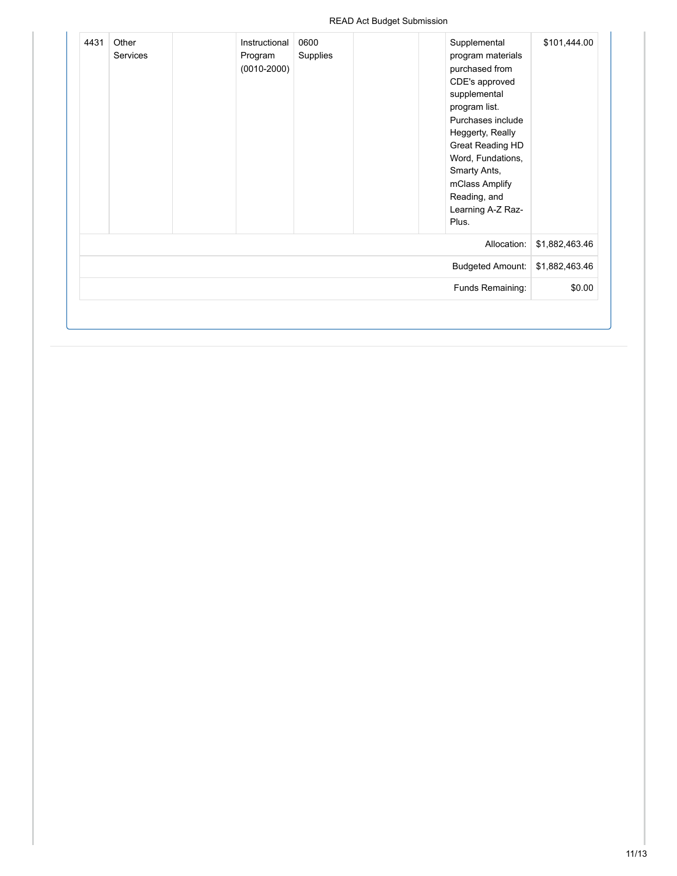### READ Act Budget Submission

| \$101,444.00   | Supplemental<br>program materials<br>purchased from<br>CDE's approved<br>supplemental<br>program list.<br>Purchases include<br>Heggerty, Really<br>Great Reading HD<br>Word, Fundations,<br>Smarty Ants,<br>mClass Amplify<br>Reading, and<br>Learning A-Z Raz-<br>Plus. | 0600<br>Supplies | Instructional<br>Program<br>$(0010 - 2000)$ | Other<br>Services | 4431 |
|----------------|--------------------------------------------------------------------------------------------------------------------------------------------------------------------------------------------------------------------------------------------------------------------------|------------------|---------------------------------------------|-------------------|------|
| \$1,882,463.46 | Allocation:                                                                                                                                                                                                                                                              |                  |                                             |                   |      |
| \$1,882,463.46 | <b>Budgeted Amount:</b>                                                                                                                                                                                                                                                  |                  |                                             |                   |      |
| \$0.00         | Funds Remaining:                                                                                                                                                                                                                                                         |                  |                                             |                   |      |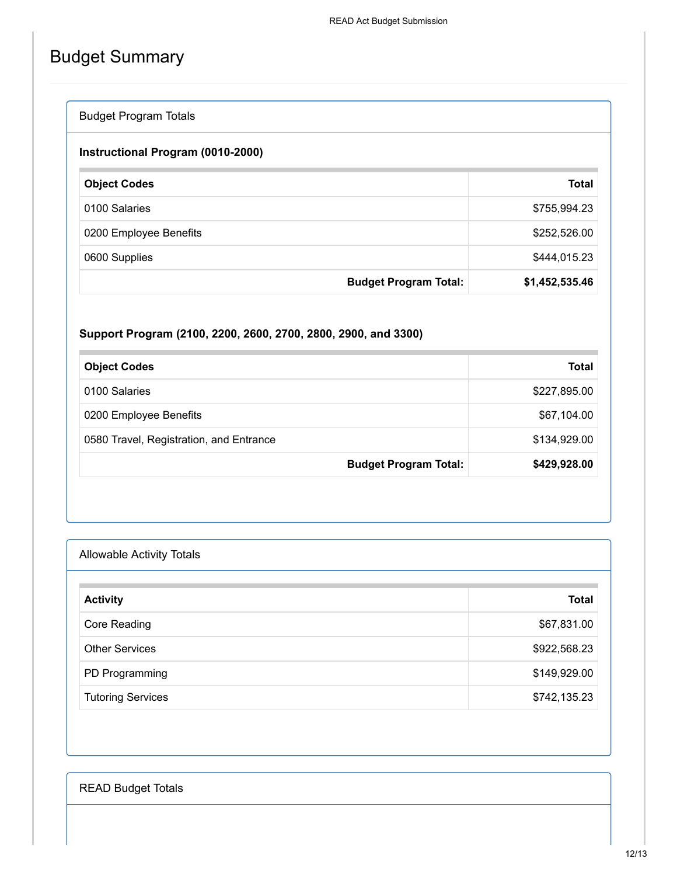# Budget Summary

| <b>Budget Program Totals</b>      |                              |                |
|-----------------------------------|------------------------------|----------------|
| Instructional Program (0010-2000) |                              |                |
| <b>Object Codes</b>               |                              | <b>Total</b>   |
| 0100 Salaries                     |                              | \$755,994.23   |
| 0200 Employee Benefits            |                              | \$252,526.00   |
| 0600 Supplies                     |                              | \$444,015.23   |
|                                   | <b>Budget Program Total:</b> | \$1,452,535.46 |

### **Support Program (2100, 2200, 2600, 2700, 2800, 2900, and 3300)**

| <b>Object Codes</b>                     | Total        |
|-----------------------------------------|--------------|
| 0100 Salaries                           | \$227,895.00 |
| 0200 Employee Benefits                  | \$67,104.00  |
| 0580 Travel, Registration, and Entrance | \$134,929.00 |
| <b>Budget Program Total:</b>            | \$429,928.00 |

| <b>Allowable Activity Totals</b> |              |
|----------------------------------|--------------|
| <b>Activity</b>                  | <b>Total</b> |
| Core Reading                     | \$67,831.00  |
| <b>Other Services</b>            | \$922,568.23 |
| PD Programming                   | \$149,929.00 |
| <b>Tutoring Services</b>         | \$742,135.23 |

READ Budget Totals